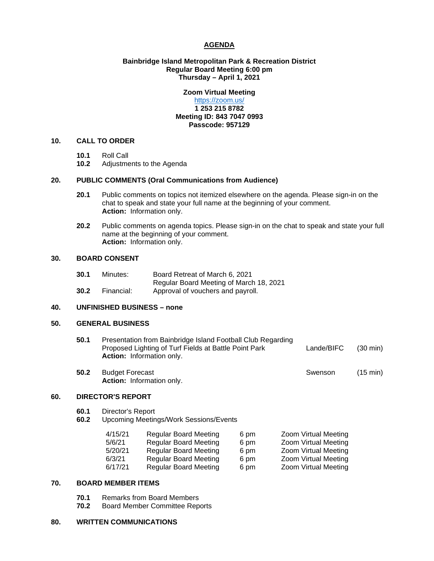# **AGENDA**

# **Bainbridge Island Metropolitan Park & Recreation District Regular Board Meeting 6:00 pm Thursday – April 1, 2021**

# **Zoom Virtual Meeting**

# <https://zoom.us/> **1 253 215 8782 Meeting ID: 843 7047 0993 Passcode: 957129**

# **10. CALL TO ORDER**

- **10.1** Roll Call
- **10.2** Adjustments to the Agenda

# **20. PUBLIC COMMENTS (Oral Communications from Audience)**

- **20.1** Public comments on topics not itemized elsewhere on the agenda. Please sign-in on the chat to speak and state your full name at the beginning of your comment. **Action:** Information only.
- **20.2** Public comments on agenda topics. Please sign-in on the chat to speak and state your full name at the beginning of your comment. **Action:** Information only.

## **30. BOARD CONSENT**

| 30.1 | Minutes:   | Board Retreat of March 6, 2021          |
|------|------------|-----------------------------------------|
|      |            | Regular Board Meeting of March 18, 2021 |
| 30.2 | Financial: | Approval of vouchers and payroll.       |

#### **40. UNFINISHED BUSINESS – none**

#### **50. GENERAL BUSINESS**

| 50.1 | Presentation from Bainbridge Island Football Club Regarding<br>Proposed Lighting of Turf Fields at Battle Point Park<br><b>Action:</b> Information only. | Lande/BIFC | $(30 \text{ min})$ |
|------|----------------------------------------------------------------------------------------------------------------------------------------------------------|------------|--------------------|
|      |                                                                                                                                                          |            |                    |

**50.2** Budget Forecast **Superintensis Equation** Swenson (15 min) **Action:** Information only.

# **60. DIRECTOR'S REPORT**

- **60.1** Director's Report
- **60.2** Upcoming Meetings/Work Sessions/Events

| 4/15/21 | <b>Regular Board Meeting</b> | 6 pm | Zoom Virtual Meeting |
|---------|------------------------------|------|----------------------|
| 5/6/21  | <b>Regular Board Meeting</b> | 6 pm | Zoom Virtual Meeting |
| 5/20/21 | <b>Regular Board Meeting</b> | 6 pm | Zoom Virtual Meeting |
| 6/3/21  | <b>Regular Board Meeting</b> | 6 pm | Zoom Virtual Meeting |
| 6/17/21 | <b>Regular Board Meeting</b> | 6 pm | Zoom Virtual Meeting |
|         |                              |      |                      |

# **70. BOARD MEMBER ITEMS**

- **70.1** Remarks from Board Members<br>**70.2** Board Member Committee Rep
- **70.2** Board Member Committee Reports

#### **80. WRITTEN COMMUNICATIONS**